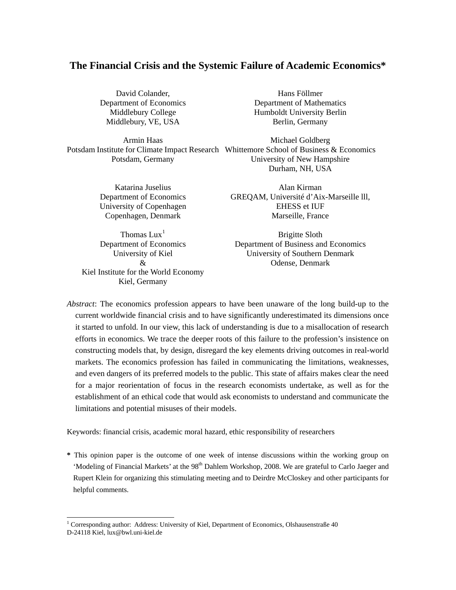## **The Financial Crisis and the Systemic Failure of Academic Economics\***

David Colander, Department of Economics Middlebury College Middlebury, VE, USA

Armin Haas Potsdam, Germany

Hans Föllmer Department of Mathematics Humboldt University Berlin Berlin, Germany

Potsdam Institute for Climate Impact Research Whittemore School of Business & Economics Michael Goldberg University of New Hampshire Durham, NH, USA

> Katarina Juselius Department of Economics University of Copenhagen Copenhagen, Denmark

Thomas  $Lux<sup>1</sup>$  $Lux<sup>1</sup>$  $Lux<sup>1</sup>$ Department of Economics University of Kiel  $\mathcal{R}$ Kiel Institute for the World Economy Kiel, Germany

Alan Kirman GREQAM, Université d'Aix-Marseille lll, EHESS et IUF Marseille, France

Brigitte Sloth Department of Business and Economics University of Southern Denmark Odense, Denmark

*Abstract*: The economics profession appears to have been unaware of the long build-up to the current worldwide financial crisis and to have significantly underestimated its dimensions once it started to unfold. In our view, this lack of understanding is due to a misallocation of research efforts in economics. We trace the deeper roots of this failure to the profession's insistence on constructing models that, by design, disregard the key elements driving outcomes in real-world markets. The economics profession has failed in communicating the limitations, weaknesses, and even dangers of its preferred models to the public. This state of affairs makes clear the need for a major reorientation of focus in the research economists undertake, as well as for the establishment of an ethical code that would ask economists to understand and communicate the limitations and potential misuses of their models.

Keywords: financial crisis, academic moral hazard, ethic responsibility of researchers

**\*** This opinion paper is the outcome of one week of intense discussions within the working group on 'Modeling of Financial Markets' at the 98<sup>th</sup> Dahlem Workshop, 2008. We are grateful to Carlo Jaeger and Rupert Klein for organizing this stimulating meeting and to Deirdre McCloskey and other participants for helpful comments.

<span id="page-0-0"></span> 1 Corresponding author: Address: University of Kiel, Department of Economics, Olshausenstraße 40 D-24118 Kiel, lux@bwl.uni-kiel.de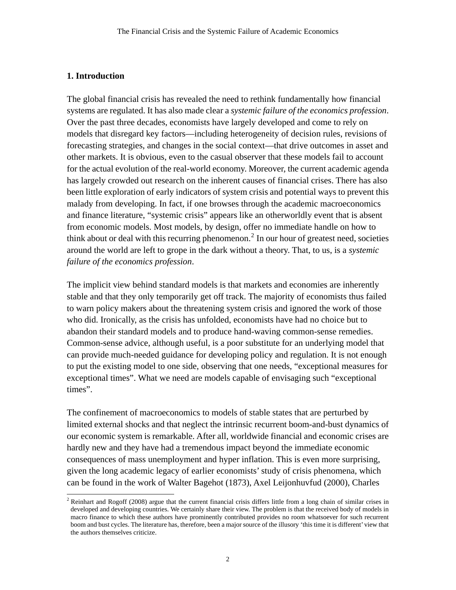### **1. Introduction**

 $\overline{a}$ 

The global financial crisis has revealed the need to rethink fundamentally how financial systems are regulated. It has also made clear a *systemic failure of the economics profession*. Over the past three decades, economists have largely developed and come to rely on models that disregard key factors—including heterogeneity of decision rules, revisions of forecasting strategies, and changes in the social context—that drive outcomes in asset and other markets. It is obvious, even to the casual observer that these models fail to account for the actual evolution of the real-world economy. Moreover, the current academic agenda has largely crowded out research on the inherent causes of financial crises. There has also been little exploration of early indicators of system crisis and potential ways to prevent this malady from developing. In fact, if one browses through the academic macroeconomics and finance literature, "systemic crisis" appears like an otherworldly event that is absent from economic models. Most models, by design, offer no immediate handle on how to think about or deal with this recurring phenomenon.<sup>[2](#page-1-0)</sup> In our hour of greatest need, societies around the world are left to grope in the dark without a theory. That, to us, is a *systemic failure of the economics profession*.

The implicit view behind standard models is that markets and economies are inherently stable and that they only temporarily get off track. The majority of economists thus failed to warn policy makers about the threatening system crisis and ignored the work of those who did. Ironically, as the crisis has unfolded, economists have had no choice but to abandon their standard models and to produce hand-waving common-sense remedies. Common-sense advice, although useful, is a poor substitute for an underlying model that can provide much-needed guidance for developing policy and regulation. It is not enough to put the existing model to one side, observing that one needs, "exceptional measures for exceptional times". What we need are models capable of envisaging such "exceptional times".

The confinement of macroeconomics to models of stable states that are perturbed by limited external shocks and that neglect the intrinsic recurrent boom-and-bust dynamics of our economic system is remarkable. After all, worldwide financial and economic crises are hardly new and they have had a tremendous impact beyond the immediate economic consequences of mass unemployment and hyper inflation. This is even more surprising, given the long academic legacy of earlier economists' study of crisis phenomena, which can be found in the work of Walter Bagehot (1873), Axel Leijonhuvfud (2000), Charles

<span id="page-1-0"></span><sup>&</sup>lt;sup>2</sup> Reinhart and Rogoff (2008) argue that the current financial crisis differs little from a long chain of similar crises in developed and developing countries. We certainly share their view. The problem is that the received body of models in macro finance to which these authors have prominently contributed provides no room whatsoever for such recurrent boom and bust cycles. The literature has, therefore, been a major source of the illusory 'this time it is different' view that the authors themselves criticize.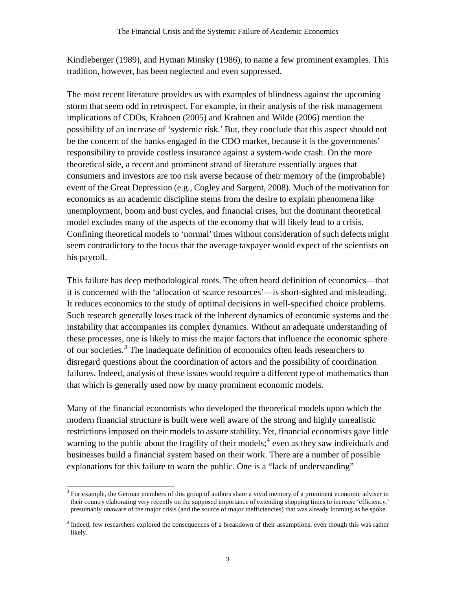Kindleberger (1989), and Hyman Minsky (1986), to name a few prominent examples. This tradition, however, has been neglected and even suppressed.

The most recent literature provides us with examples of blindness against the upcoming storm that seem odd in retrospect. For example, in their analysis of the risk management implications of CDOs, Krahnen (2005) and Krahnen and Wilde (2006) mention the possibility of an increase of 'systemic risk.' But, they conclude that this aspect should not be the concern of the banks engaged in the CDO market, because it is the governments' responsibility to provide costless insurance against a system-wide crash. On the more theoretical side, a recent and prominent strand of literature essentially argues that consumers and investors are too risk averse because of their memory of the (improbable) event of the Great Depression (e.g., Cogley and Sargent, 2008). Much of the motivation for economics as an academic discipline stems from the desire to explain phenomena like unemployment, boom and bust cycles, and financial crises, but the dominant theoretical model excludes many of the aspects of the economy that will likely lead to a crisis. Confining theoretical models to 'normal' times without consideration of such defects might seem contradictory to the focus that the average taxpayer would expect of the scientists on his payroll.

This failure has deep methodological roots. The often heard definition of economics—that it is concerned with the 'allocation of scarce resources'—is short-sighted and misleading. It reduces economics to the study of optimal decisions in well-specified choice problems. Such research generally loses track of the inherent dynamics of economic systems and the instability that accompanies its complex dynamics. Without an adequate understanding of these processes, one is likely to miss the major factors that influence the economic sphere of our societies.<sup>[3](#page-2-0)</sup> The inadequate definition of economics often leads researchers to disregard questions about the coordination of actors and the possibility of coordination failures. Indeed, analysis of these issues would require a different type of mathematics than that which is generally used now by many prominent economic models.

Many of the financial economists who developed the theoretical models upon which the modern financial structure is built were well aware of the strong and highly unrealistic restrictions imposed on their models to assure stability. Yet, financial economists gave little warning to the public about the fragility of their models;<sup>[4](#page-2-1)</sup> even as they saw individuals and businesses build a financial system based on their work. There are a number of possible explanations for this failure to warn the public. One is a "lack of understanding"

<span id="page-2-0"></span> $\overline{a}$ <sup>3</sup> For example, the German members of this group of authors share a vivid memory of a prominent economic adviser in their country elaborating very recently on the supposed importance of extending shopping times to increase 'efficiency,' presumably unaware of the major crisis (and the source of major inefficiencies) that was already looming as he spoke.

<span id="page-2-1"></span><sup>&</sup>lt;sup>4</sup> Indeed, few researchers explored the consequences of a breakdown of their assumptions, even though this was rather likely.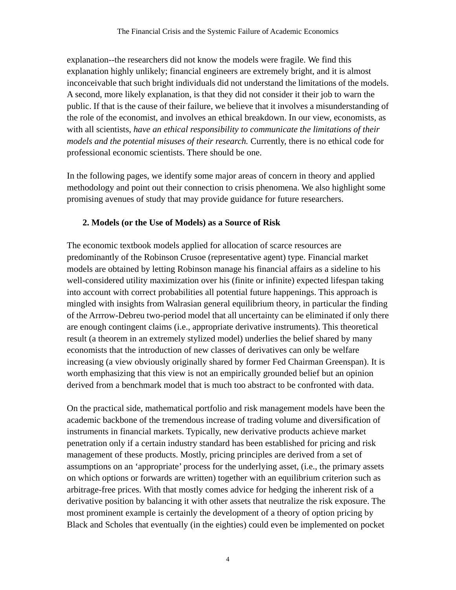explanation--the researchers did not know the models were fragile. We find this explanation highly unlikely; financial engineers are extremely bright, and it is almost inconceivable that such bright individuals did not understand the limitations of the models. A second, more likely explanation, is that they did not consider it their job to warn the public. If that is the cause of their failure, we believe that it involves a misunderstanding of the role of the economist, and involves an ethical breakdown. In our view, economists, as with all scientists, *have an ethical responsibility to communicate the limitations of their models and the potential misuses of their research.* Currently, there is no ethical code for professional economic scientists. There should be one.

In the following pages, we identify some major areas of concern in theory and applied methodology and point out their connection to crisis phenomena. We also highlight some promising avenues of study that may provide guidance for future researchers.

## **2. Models (or the Use of Models) as a Source of Risk**

The economic textbook models applied for allocation of scarce resources are predominantly of the Robinson Crusoe (representative agent) type. Financial market models are obtained by letting Robinson manage his financial affairs as a sideline to his well-considered utility maximization over his (finite or infinite) expected lifespan taking into account with correct probabilities all potential future happenings. This approach is mingled with insights from Walrasian general equilibrium theory, in particular the finding of the Arrrow-Debreu two-period model that all uncertainty can be eliminated if only there are enough contingent claims (i.e., appropriate derivative instruments). This theoretical result (a theorem in an extremely stylized model) underlies the belief shared by many economists that the introduction of new classes of derivatives can only be welfare increasing (a view obviously originally shared by former Fed Chairman Greenspan). It is worth emphasizing that this view is not an empirically grounded belief but an opinion derived from a benchmark model that is much too abstract to be confronted with data.

On the practical side, mathematical portfolio and risk management models have been the academic backbone of the tremendous increase of trading volume and diversification of instruments in financial markets. Typically, new derivative products achieve market penetration only if a certain industry standard has been established for pricing and risk management of these products. Mostly, pricing principles are derived from a set of assumptions on an 'appropriate' process for the underlying asset, (i.e., the primary assets on which options or forwards are written) together with an equilibrium criterion such as arbitrage-free prices. With that mostly comes advice for hedging the inherent risk of a derivative position by balancing it with other assets that neutralize the risk exposure. The most prominent example is certainly the development of a theory of option pricing by Black and Scholes that eventually (in the eighties) could even be implemented on pocket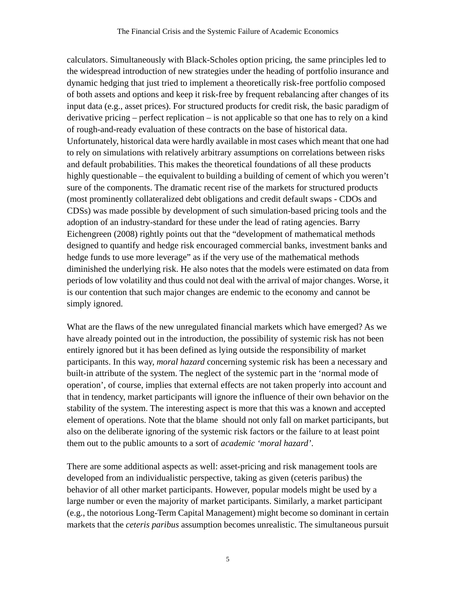calculators. Simultaneously with Black-Scholes option pricing, the same principles led to the widespread introduction of new strategies under the heading of portfolio insurance and dynamic hedging that just tried to implement a theoretically risk-free portfolio composed of both assets and options and keep it risk-free by frequent rebalancing after changes of its input data (e.g., asset prices). For structured products for credit risk, the basic paradigm of derivative pricing – perfect replication – is not applicable so that one has to rely on a kind of rough-and-ready evaluation of these contracts on the base of historical data. Unfortunately, historical data were hardly available in most cases which meant that one had to rely on simulations with relatively arbitrary assumptions on correlations between risks and default probabilities. This makes the theoretical foundations of all these products highly questionable – the equivalent to building a building of cement of which you weren't sure of the components. The dramatic recent rise of the markets for structured products (most prominently collateralized debt obligations and credit default swaps - CDOs and CDSs) was made possible by development of such simulation-based pricing tools and the adoption of an industry-standard for these under the lead of rating agencies. Barry Eichengreen (2008) rightly points out that the "development of mathematical methods designed to quantify and hedge risk encouraged commercial banks, investment banks and hedge funds to use more leverage" as if the very use of the mathematical methods diminished the underlying risk. He also notes that the models were estimated on data from periods of low volatility and thus could not deal with the arrival of major changes. Worse, it is our contention that such major changes are endemic to the economy and cannot be simply ignored.

What are the flaws of the new unregulated financial markets which have emerged? As we have already pointed out in the introduction, the possibility of systemic risk has not been entirely ignored but it has been defined as lying outside the responsibility of market participants. In this way, *moral hazard* concerning systemic risk has been a necessary and built-in attribute of the system. The neglect of the systemic part in the 'normal mode of operation', of course, implies that external effects are not taken properly into account and that in tendency, market participants will ignore the influence of their own behavior on the stability of the system. The interesting aspect is more that this was a known and accepted element of operations. Note that the blame should not only fall on market participants, but also on the deliberate ignoring of the systemic risk factors or the failure to at least point them out to the public amounts to a sort of *academic 'moral hazard'*.

There are some additional aspects as well: asset-pricing and risk management tools are developed from an individualistic perspective, taking as given (ceteris paribus) the behavior of all other market participants. However, popular models might be used by a large number or even the majority of market participants. Similarly, a market participant (e.g., the notorious Long-Term Capital Management) might become so dominant in certain markets that the *ceteris paribus* assumption becomes unrealistic. The simultaneous pursuit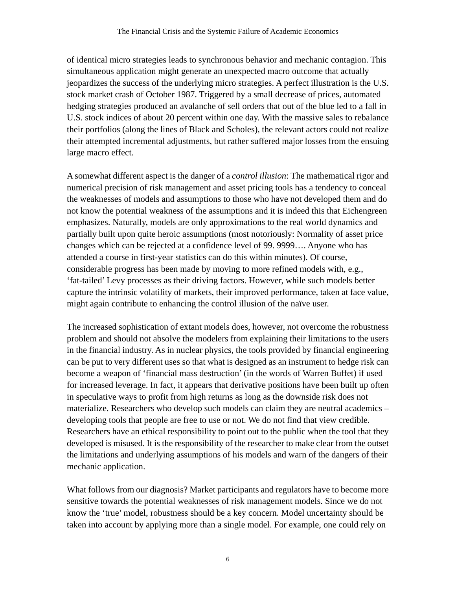of identical micro strategies leads to synchronous behavior and mechanic contagion. This simultaneous application might generate an unexpected macro outcome that actually jeopardizes the success of the underlying micro strategies. A perfect illustration is the U.S. stock market crash of October 1987. Triggered by a small decrease of prices, automated hedging strategies produced an avalanche of sell orders that out of the blue led to a fall in U.S. stock indices of about 20 percent within one day. With the massive sales to rebalance their portfolios (along the lines of Black and Scholes), the relevant actors could not realize their attempted incremental adjustments, but rather suffered major losses from the ensuing large macro effect.

A somewhat different aspect is the danger of a *control illusion*: The mathematical rigor and numerical precision of risk management and asset pricing tools has a tendency to conceal the weaknesses of models and assumptions to those who have not developed them and do not know the potential weakness of the assumptions and it is indeed this that Eichengreen emphasizes. Naturally, models are only approximations to the real world dynamics and partially built upon quite heroic assumptions (most notoriously: Normality of asset price changes which can be rejected at a confidence level of 99. 9999…. Anyone who has attended a course in first-year statistics can do this within minutes). Of course, considerable progress has been made by moving to more refined models with, e.g., 'fat-tailed' Levy processes as their driving factors. However, while such models better capture the intrinsic volatility of markets, their improved performance, taken at face value, might again contribute to enhancing the control illusion of the naïve user.

The increased sophistication of extant models does, however, not overcome the robustness problem and should not absolve the modelers from explaining their limitations to the users in the financial industry. As in nuclear physics, the tools provided by financial engineering can be put to very different uses so that what is designed as an instrument to hedge risk can become a weapon of 'financial mass destruction' (in the words of Warren Buffet) if used for increased leverage. In fact, it appears that derivative positions have been built up often in speculative ways to profit from high returns as long as the downside risk does not materialize. Researchers who develop such models can claim they are neutral academics – developing tools that people are free to use or not. We do not find that view credible. Researchers have an ethical responsibility to point out to the public when the tool that they developed is misused. It is the responsibility of the researcher to make clear from the outset the limitations and underlying assumptions of his models and warn of the dangers of their mechanic application.

What follows from our diagnosis? Market participants and regulators have to become more sensitive towards the potential weaknesses of risk management models. Since we do not know the 'true' model, robustness should be a key concern. Model uncertainty should be taken into account by applying more than a single model. For example, one could rely on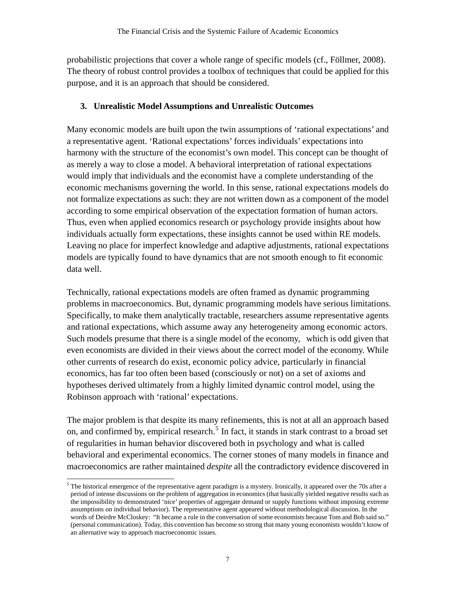probabilistic projections that cover a whole range of specific models (cf., Föllmer, 2008). The theory of robust control provides a toolbox of techniques that could be applied for this purpose, and it is an approach that should be considered.

## **3. Unrealistic Model Assumptions and Unrealistic Outcomes**

Many economic models are built upon the twin assumptions of 'rational expectations' and a representative agent. 'Rational expectations' forces individuals' expectations into harmony with the structure of the economist's own model. This concept can be thought of as merely a way to close a model. A behavioral interpretation of rational expectations would imply that individuals and the economist have a complete understanding of the economic mechanisms governing the world. In this sense, rational expectations models do not formalize expectations as such: they are not written down as a component of the model according to some empirical observation of the expectation formation of human actors. Thus, even when applied economics research or psychology provide insights about how individuals actually form expectations, these insights cannot be used within RE models. Leaving no place for imperfect knowledge and adaptive adjustments, rational expectations models are typically found to have dynamics that are not smooth enough to fit economic data well.

Technically, rational expectations models are often framed as dynamic programming problems in macroeconomics. But, dynamic programming models have serious limitations. Specifically, to make them analytically tractable, researchers assume representative agents and rational expectations, which assume away any heterogeneity among economic actors. Such models presume that there is a single model of the economy, which is odd given that even economists are divided in their views about the correct model of the economy. While other currents of research do exist, economic policy advice, particularly in financial economics, has far too often been based (consciously or not) on a set of axioms and hypotheses derived ultimately from a highly limited dynamic control model, using the Robinson approach with 'rational' expectations.

The major problem is that despite its many refinements, this is not at all an approach based on, and confirmed by, empirical research.<sup>[5](#page-6-0)</sup> In fact, it stands in stark contrast to a broad set of regularities in human behavior discovered both in psychology and what is called behavioral and experimental economics. The corner stones of many models in finance and macroeconomics are rather maintained *despite* all the contradictory evidence discovered in

 $\overline{a}$ 

<span id="page-6-0"></span> $<sup>5</sup>$  The historical emergence of the representative agent paradigm is a mystery. Ironically, it appeared over the 70s after a</sup> period of intense discussions on the problem of aggregation in economics (that basically yielded negative results such as the impossibility to demonstrated 'nice' properties of aggregate demand or supply functions without imposing extreme assumptions on individual behavior). The representative agent appeared without methodological discussion. In the words of Deirdre McCloskey: "It became a rule in the conversation of some economists because Tom and Bob said so." (personal communication). Today, this convention has become so strong that many young economists wouldn't know of an alternative way to approach macroeconomic issues.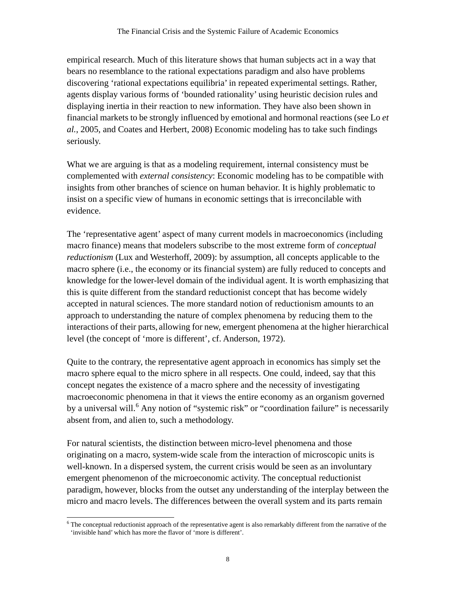empirical research. Much of this literature shows that human subjects act in a way that bears no resemblance to the rational expectations paradigm and also have problems discovering 'rational expectations equilibria' in repeated experimental settings. Rather, agents display various forms of 'bounded rationality' using heuristic decision rules and displaying inertia in their reaction to new information. They have also been shown in financial markets to be strongly influenced by emotional and hormonal reactions (see Lo *et al.*, 2005, and Coates and Herbert, 2008) Economic modeling has to take such findings seriously.

What we are arguing is that as a modeling requirement, internal consistency must be complemented with *external consistency*: Economic modeling has to be compatible with insights from other branches of science on human behavior. It is highly problematic to insist on a specific view of humans in economic settings that is irreconcilable with evidence.

The 'representative agent' aspect of many current models in macroeconomics (including macro finance) means that modelers subscribe to the most extreme form of *conceptual reductionism* (Lux and Westerhoff, 2009): by assumption, all concepts applicable to the macro sphere (i.e., the economy or its financial system) are fully reduced to concepts and knowledge for the lower-level domain of the individual agent. It is worth emphasizing that this is quite different from the standard reductionist concept that has become widely accepted in natural sciences. The more standard notion of reductionism amounts to an approach to understanding the nature of complex phenomena by reducing them to the interactions of their parts, allowing for new, emergent phenomena at the higher hierarchical level (the concept of 'more is different', cf. Anderson, 1972).

Quite to the contrary, the representative agent approach in economics has simply set the macro sphere equal to the micro sphere in all respects. One could, indeed, say that this concept negates the existence of a macro sphere and the necessity of investigating macroeconomic phenomena in that it views the entire economy as an organism governed by a universal will.<sup>[6](#page-7-0)</sup> Any notion of "systemic risk" or "coordination failure" is necessarily absent from, and alien to, such a methodology.

For natural scientists, the distinction between micro-level phenomena and those originating on a macro, system-wide scale from the interaction of microscopic units is well-known. In a dispersed system, the current crisis would be seen as an involuntary emergent phenomenon of the microeconomic activity. The conceptual reductionist paradigm, however, blocks from the outset any understanding of the interplay between the micro and macro levels. The differences between the overall system and its parts remain

<span id="page-7-0"></span><sup>&</sup>lt;sup>6</sup>The conceptual reductionist approach of the representative agent is also remarkably different from the narrative of the 'invisible hand' which has more the flavor of 'more is different'.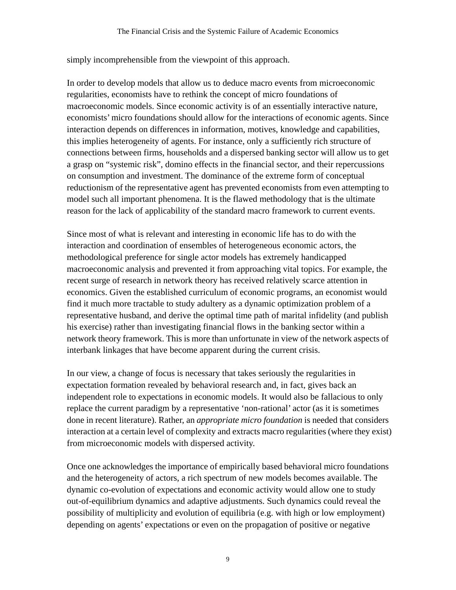simply incomprehensible from the viewpoint of this approach.

In order to develop models that allow us to deduce macro events from microeconomic regularities, economists have to rethink the concept of micro foundations of macroeconomic models. Since economic activity is of an essentially interactive nature, economists' micro foundations should allow for the interactions of economic agents. Since interaction depends on differences in information, motives, knowledge and capabilities, this implies heterogeneity of agents. For instance, only a sufficiently rich structure of connections between firms, households and a dispersed banking sector will allow us to get a grasp on "systemic risk", domino effects in the financial sector, and their repercussions on consumption and investment. The dominance of the extreme form of conceptual reductionism of the representative agent has prevented economists from even attempting to model such all important phenomena. It is the flawed methodology that is the ultimate reason for the lack of applicability of the standard macro framework to current events.

Since most of what is relevant and interesting in economic life has to do with the interaction and coordination of ensembles of heterogeneous economic actors, the methodological preference for single actor models has extremely handicapped macroeconomic analysis and prevented it from approaching vital topics. For example, the recent surge of research in network theory has received relatively scarce attention in economics. Given the established curriculum of economic programs, an economist would find it much more tractable to study adultery as a dynamic optimization problem of a representative husband, and derive the optimal time path of marital infidelity (and publish his exercise) rather than investigating financial flows in the banking sector within a network theory framework. This is more than unfortunate in view of the network aspects of interbank linkages that have become apparent during the current crisis.

In our view, a change of focus is necessary that takes seriously the regularities in expectation formation revealed by behavioral research and, in fact, gives back an independent role to expectations in economic models. It would also be fallacious to only replace the current paradigm by a representative 'non-rational' actor (as it is sometimes done in recent literature). Rather, an *appropriate micro foundation* is needed that considers interaction at a certain level of complexity and extracts macro regularities (where they exist) from microeconomic models with dispersed activity.

Once one acknowledges the importance of empirically based behavioral micro foundations and the heterogeneity of actors, a rich spectrum of new models becomes available. The dynamic co-evolution of expectations and economic activity would allow one to study out-of-equilibrium dynamics and adaptive adjustments. Such dynamics could reveal the possibility of multiplicity and evolution of equilibria (e.g. with high or low employment) depending on agents' expectations or even on the propagation of positive or negative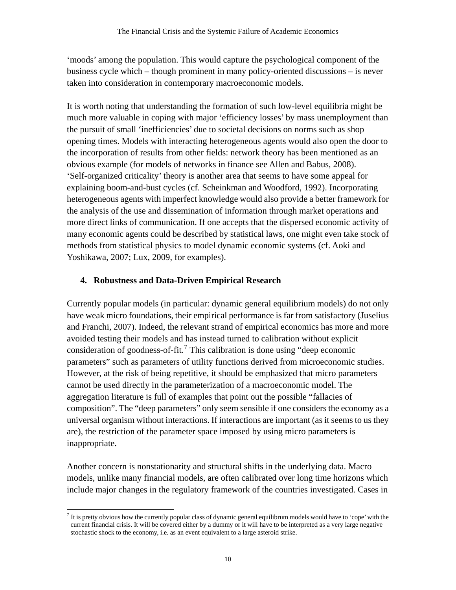'moods' among the population. This would capture the psychological component of the business cycle which – though prominent in many policy-oriented discussions – is never taken into consideration in contemporary macroeconomic models.

It is worth noting that understanding the formation of such low-level equilibria might be much more valuable in coping with major 'efficiency losses' by mass unemployment than the pursuit of small 'inefficiencies' due to societal decisions on norms such as shop opening times. Models with interacting heterogeneous agents would also open the door to the incorporation of results from other fields: network theory has been mentioned as an obvious example (for models of networks in finance see Allen and Babus, 2008). 'Self-organized criticality' theory is another area that seems to have some appeal for explaining boom-and-bust cycles (cf. Scheinkman and Woodford, 1992). Incorporating heterogeneous agents with imperfect knowledge would also provide a better framework for the analysis of the use and dissemination of information through market operations and more direct links of communication. If one accepts that the dispersed economic activity of many economic agents could be described by statistical laws, one might even take stock of methods from statistical physics to model dynamic economic systems (cf. Aoki and Yoshikawa, 2007; Lux, 2009, for examples).

# **4. Robustness and Data-Driven Empirical Research**

Currently popular models (in particular: dynamic general equilibrium models) do not only have weak micro foundations, their empirical performance is far from satisfactory (Juselius and Franchi, 2007). Indeed, the relevant strand of empirical economics has more and more avoided testing their models and has instead turned to calibration without explicit consideration of goodness-of-fit.<sup>[7](#page-9-0)</sup> This calibration is done using "deep economic parameters" such as parameters of utility functions derived from microeconomic studies. However, at the risk of being repetitive, it should be emphasized that micro parameters cannot be used directly in the parameterization of a macroeconomic model. The aggregation literature is full of examples that point out the possible "fallacies of composition". The "deep parameters" only seem sensible if one considers the economy as a universal organism without interactions. If interactions are important (as it seems to us they are), the restriction of the parameter space imposed by using micro parameters is inappropriate.

Another concern is nonstationarity and structural shifts in the underlying data. Macro models, unlike many financial models, are often calibrated over long time horizons which include major changes in the regulatory framework of the countries investigated. Cases in

<span id="page-9-0"></span> $\overline{a}$  $<sup>7</sup>$  It is pretty obvious how the currently popular class of dynamic general equilibrum models would have to 'cope' with the</sup> current financial crisis. It will be covered either by a dummy or it will have to be interpreted as a very large negative stochastic shock to the economy, i.e. as an event equivalent to a large asteroid strike.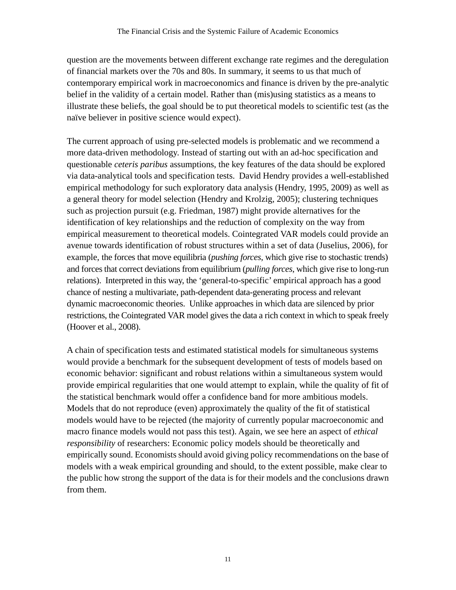question are the movements between different exchange rate regimes and the deregulation of financial markets over the 70s and 80s. In summary, it seems to us that much of contemporary empirical work in macroeconomics and finance is driven by the pre-analytic belief in the validity of a certain model. Rather than (mis)using statistics as a means to illustrate these beliefs, the goal should be to put theoretical models to scientific test (as the naïve believer in positive science would expect).

The current approach of using pre-selected models is problematic and we recommend a more data-driven methodology. Instead of starting out with an ad-hoc specification and questionable *ceteris paribus* assumptions, the key features of the data should be explored via data-analytical tools and specification tests. David Hendry provides a well-established empirical methodology for such exploratory data analysis (Hendry, 1995, 2009) as well as a general theory for model selection (Hendry and Krolzig, 2005); clustering techniques such as projection pursuit (e.g. Friedman, 1987) might provide alternatives for the identification of key relationships and the reduction of complexity on the way from empirical measurement to theoretical models. Cointegrated VAR models could provide an avenue towards identification of robust structures within a set of data (Juselius, 2006), for example, the forces that move equilibria (*pushing forces*, which give rise to stochastic trends) and forces that correct deviations from equilibrium (*pulling forces*, which give rise to long-run relations). Interpreted in this way, the 'general-to-specific' empirical approach has a good chance of nesting a multivariate, path-dependent data-generating process and relevant dynamic macroeconomic theories. Unlike approaches in which data are silenced by prior restrictions, the Cointegrated VAR model gives the data a rich context in which to speak freely (Hoover et al., 2008).

A chain of specification tests and estimated statistical models for simultaneous systems would provide a benchmark for the subsequent development of tests of models based on economic behavior: significant and robust relations within a simultaneous system would provide empirical regularities that one would attempt to explain, while the quality of fit of the statistical benchmark would offer a confidence band for more ambitious models. Models that do not reproduce (even) approximately the quality of the fit of statistical models would have to be rejected (the majority of currently popular macroeconomic and macro finance models would not pass this test). Again, we see here an aspect of *ethical responsibility* of researchers: Economic policy models should be theoretically and empirically sound. Economists should avoid giving policy recommendations on the base of models with a weak empirical grounding and should, to the extent possible, make clear to the public how strong the support of the data is for their models and the conclusions drawn from them.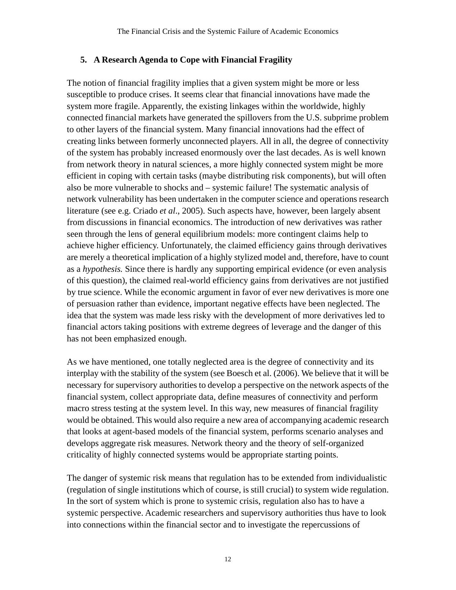## **5. A Research Agenda to Cope with Financial Fragility**

The notion of financial fragility implies that a given system might be more or less susceptible to produce crises. It seems clear that financial innovations have made the system more fragile. Apparently, the existing linkages within the worldwide, highly connected financial markets have generated the spillovers from the U.S. subprime problem to other layers of the financial system. Many financial innovations had the effect of creating links between formerly unconnected players. All in all, the degree of connectivity of the system has probably increased enormously over the last decades. As is well known from network theory in natural sciences, a more highly connected system might be more efficient in coping with certain tasks (maybe distributing risk components), but will often also be more vulnerable to shocks and – systemic failure! The systematic analysis of network vulnerability has been undertaken in the computer science and operations research literature (see e.g. Criado *et al*., 2005). Such aspects have, however, been largely absent from discussions in financial economics. The introduction of new derivatives was rather seen through the lens of general equilibrium models: more contingent claims help to achieve higher efficiency. Unfortunately, the claimed efficiency gains through derivatives are merely a theoretical implication of a highly stylized model and, therefore, have to count as a *hypothesis.* Since there is hardly any supporting empirical evidence (or even analysis of this question), the claimed real-world efficiency gains from derivatives are not justified by true science. While the economic argument in favor of ever new derivatives is more one of persuasion rather than evidence, important negative effects have been neglected. The idea that the system was made less risky with the development of more derivatives led to financial actors taking positions with extreme degrees of leverage and the danger of this has not been emphasized enough.

As we have mentioned, one totally neglected area is the degree of connectivity and its interplay with the stability of the system (see Boesch et al. (2006). We believe that it will be necessary for supervisory authorities to develop a perspective on the network aspects of the financial system, collect appropriate data, define measures of connectivity and perform macro stress testing at the system level. In this way, new measures of financial fragility would be obtained. This would also require a new area of accompanying academic research that looks at agent-based models of the financial system, performs scenario analyses and develops aggregate risk measures. Network theory and the theory of self-organized criticality of highly connected systems would be appropriate starting points.

The danger of systemic risk means that regulation has to be extended from individualistic (regulation of single institutions which of course, is still crucial) to system wide regulation. In the sort of system which is prone to systemic crisis, regulation also has to have a systemic perspective. Academic researchers and supervisory authorities thus have to look into connections within the financial sector and to investigate the repercussions of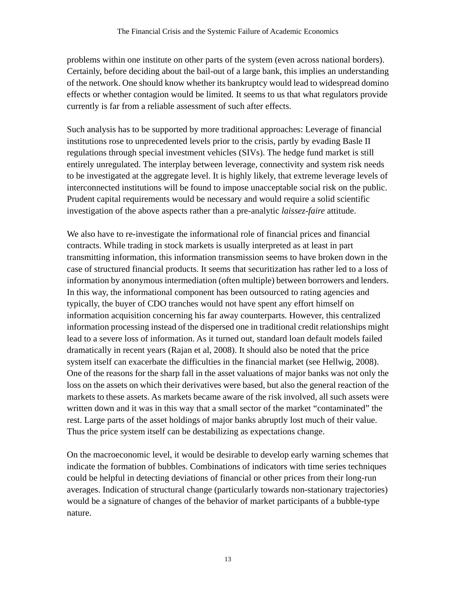problems within one institute on other parts of the system (even across national borders). Certainly, before deciding about the bail-out of a large bank, this implies an understanding of the network. One should know whether its bankruptcy would lead to widespread domino effects or whether contagion would be limited. It seems to us that what regulators provide currently is far from a reliable assessment of such after effects.

Such analysis has to be supported by more traditional approaches: Leverage of financial institutions rose to unprecedented levels prior to the crisis, partly by evading Basle II regulations through special investment vehicles (SIVs). The hedge fund market is still entirely unregulated. The interplay between leverage, connectivity and system risk needs to be investigated at the aggregate level. It is highly likely, that extreme leverage levels of interconnected institutions will be found to impose unacceptable social risk on the public. Prudent capital requirements would be necessary and would require a solid scientific investigation of the above aspects rather than a pre-analytic *laissez-faire* attitude.

We also have to re-investigate the informational role of financial prices and financial contracts. While trading in stock markets is usually interpreted as at least in part transmitting information, this information transmission seems to have broken down in the case of structured financial products. It seems that securitization has rather led to a loss of information by anonymous intermediation (often multiple) between borrowers and lenders. In this way, the informational component has been outsourced to rating agencies and typically, the buyer of CDO tranches would not have spent any effort himself on information acquisition concerning his far away counterparts. However, this centralized information processing instead of the dispersed one in traditional credit relationships might lead to a severe loss of information. As it turned out, standard loan default models failed dramatically in recent years (Rajan et al, 2008). It should also be noted that the price system itself can exacerbate the difficulties in the financial market (see Hellwig, 2008). One of the reasons for the sharp fall in the asset valuations of major banks was not only the loss on the assets on which their derivatives were based, but also the general reaction of the markets to these assets. As markets became aware of the risk involved, all such assets were written down and it was in this way that a small sector of the market "contaminated" the rest. Large parts of the asset holdings of major banks abruptly lost much of their value. Thus the price system itself can be destabilizing as expectations change.

On the macroeconomic level, it would be desirable to develop early warning schemes that indicate the formation of bubbles. Combinations of indicators with time series techniques could be helpful in detecting deviations of financial or other prices from their long-run averages. Indication of structural change (particularly towards non-stationary trajectories) would be a signature of changes of the behavior of market participants of a bubble-type nature.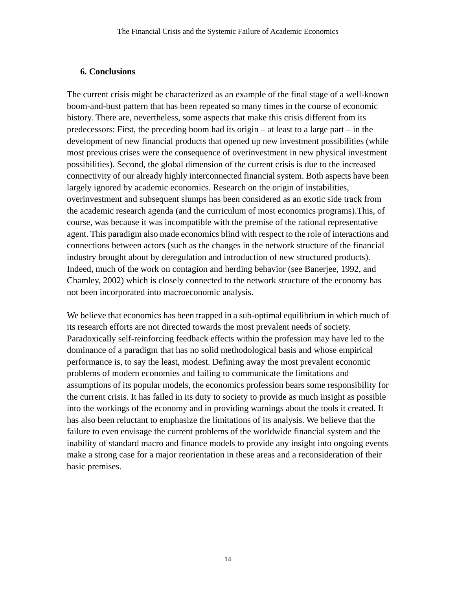#### **6. Conclusions**

The current crisis might be characterized as an example of the final stage of a well-known boom-and-bust pattern that has been repeated so many times in the course of economic history. There are, nevertheless, some aspects that make this crisis different from its predecessors: First, the preceding boom had its origin – at least to a large part – in the development of new financial products that opened up new investment possibilities (while most previous crises were the consequence of overinvestment in new physical investment possibilities). Second, the global dimension of the current crisis is due to the increased connectivity of our already highly interconnected financial system. Both aspects have been largely ignored by academic economics. Research on the origin of instabilities, overinvestment and subsequent slumps has been considered as an exotic side track from the academic research agenda (and the curriculum of most economics programs).This, of course, was because it was incompatible with the premise of the rational representative agent. This paradigm also made economics blind with respect to the role of interactions and connections between actors (such as the changes in the network structure of the financial industry brought about by deregulation and introduction of new structured products). Indeed, much of the work on contagion and herding behavior (see Banerjee, 1992, and Chamley, 2002) which is closely connected to the network structure of the economy has not been incorporated into macroeconomic analysis.

We believe that economics has been trapped in a sub-optimal equilibrium in which much of its research efforts are not directed towards the most prevalent needs of society. Paradoxically self-reinforcing feedback effects within the profession may have led to the dominance of a paradigm that has no solid methodological basis and whose empirical performance is, to say the least, modest. Defining away the most prevalent economic problems of modern economies and failing to communicate the limitations and assumptions of its popular models, the economics profession bears some responsibility for the current crisis. It has failed in its duty to society to provide as much insight as possible into the workings of the economy and in providing warnings about the tools it created. It has also been reluctant to emphasize the limitations of its analysis. We believe that the failure to even envisage the current problems of the worldwide financial system and the inability of standard macro and finance models to provide any insight into ongoing events make a strong case for a major reorientation in these areas and a reconsideration of their basic premises.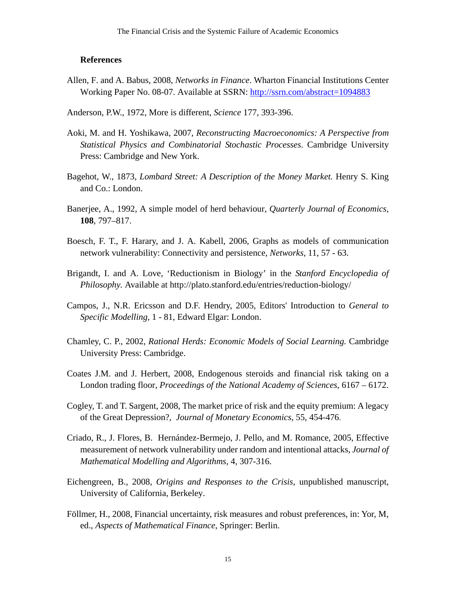#### **References**

- Allen, F. and A. Babus, 2008, *Networks in Finance*. Wharton Financial Institutions Center Working Paper No. 08-07. Available at SSRN:<http://ssrn.com/abstract=1094883>
- Anderson, P.W., 1972, More is different, *Science* 177, 393-396.
- Aoki, M. and H. Yoshikawa, 2007, *Reconstructing Macroeconomics: A Perspective from Statistical Physics and Combinatorial Stochastic Processes*. Cambridge University Press: Cambridge and New York.
- Bagehot, W., 1873, *Lombard Street: A Description of the Money Market.* Henry S. King and Co.: London.
- Banerjee, A., 1992, A simple model of herd behaviour, *Quarterly Journal of Economics*, **108**, 797–817.
- Boesch, F. T., F. Harary, and J. A. Kabell, 2006, Graphs as models of communication network vulnerability: Connectivity and persistence, *Networks*, 11, 57 - 63.
- Brigandt, I. and A. Love, ['Reductionism in Biology'](http://plato.stanford.edu/entries/reduction-biology/) in the *[Stanford Encyclopedia of](http://de.wikipedia.org/wiki/Stanford_Encyclopedia_of_Philosophy)  [Philosophy.](http://de.wikipedia.org/wiki/Stanford_Encyclopedia_of_Philosophy)* Available at http://plato.stanford.edu/entries/reduction-biology/
- Campos, J., N.R. Ericsson and D.F. Hendry, 2005, Editors' Introduction to *General to Specific Modelling*, 1 - 81, Edward Elgar: London.
- Chamley, C. P., 2002, *Rational Herds: Economic Models of Social Learning.* Cambridge University Press: Cambridge.
- Coates J.M. and J. Herbert, 2008, Endogenous steroids and financial risk taking on a London trading floor, *Proceedings of the National Academy of Sciences*, 6167 – 6172.
- Cogley, T. and T. Sargent, 2008, The market price of risk and the equity premium: A legacy of the Great Depression?, *Journal of Monetary Economics*, 55, 454-476.
- Criado, R., J. Flores, B. Hernández-Bermejo, J. Pello, and M. Romance, 2005, Effective measurement of network vulnerability under random and intentional attacks*, Journal of Mathematical Modelling and Algorithms*, 4, 307-316.
- Eichengreen, B., 2008, *Origins and Responses to the Crisis*, unpublished manuscript, University of California, Berkeley.
- Föllmer, H., 2008, Financial uncertainty, risk measures and robust preferences, in: Yor, M, ed., *Aspects of Mathematical Finance*, Springer: Berlin.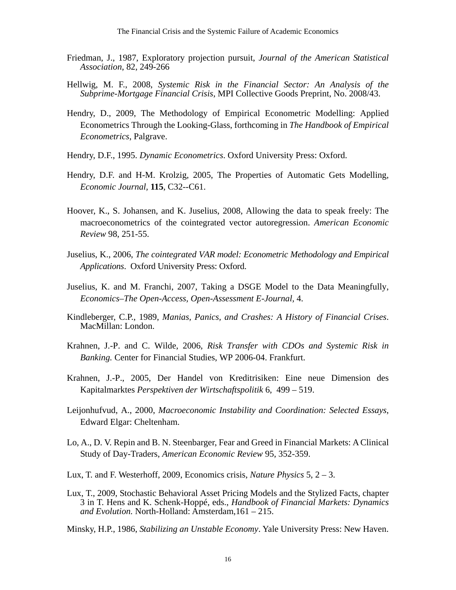- Friedman, J., 1987, Exploratory projection pursuit, *Journal of the American Statistical Association*, 82, 249-266
- Hellwig, M. F., 2008, *Systemic Risk in the Financial Sector: An Analysis of the Subprime-Mortgage Financial Crisis*, MPI Collective Goods Preprint, No. 2008/43.
- Hendry, D., 2009, The Methodology of Empirical Econometric Modelling: Applied Econometrics Through the Looking-Glass, forthcoming in *The Handbook of Empirical Econometrics*, Palgrave.
- Hendry, D.F., 1995. *Dynamic Econometrics*. Oxford University Press: Oxford.
- Hendry, D.F. and H-M. Krolzig, 2005, The Properties of Automatic Gets Modelling, *Economic Journal,* **115**, C32--C61.
- Hoover, K., S. Johansen, and K. Juselius, 2008, Allowing the data to speak freely: The macroeconometrics of the cointegrated vector autoregression. *American Economic Review* 98, 251-55.
- Juselius, K., 2006, *The cointegrated VAR model: Econometric Methodology and Empirical Applications*. Oxford University Press: Oxford.
- Juselius, K. and M. Franchi, 2007, Taking a DSGE Model to the Data Meaningfully, *Economics–The Open-Access, Open-Assessment E-Journal,* 4.
- Kindleberger, C.P., 1989, *Manias, Panics, and Crashes: A History of Financial Crises*. MacMillan: London.
- Krahnen, J.-P. and C. Wilde, 2006, *Risk Transfer with CDOs and Systemic Risk in Banking.* Center for Financial Studies, WP 2006-04. Frankfurt.
- Krahnen, J.-P., 2005, Der Handel von Kreditrisiken: Eine neue Dimension des Kapitalmarktes *Perspektiven der Wirtschaftspolitik* 6, 499 – 519.
- Leijonhufvud, A., 2000, *Macroeconomic Instability and Coordination: Selected Essays*, Edward Elgar: Cheltenham.
- Lo, A., D. V. Repin and B. N. Steenbarger, Fear and Greed in Financial Markets: A Clinical Study of Day-Traders, *American Economic Review* 95, 352-359.
- Lux, T. and F. Westerhoff, 2009, Economics crisis, *Nature Physics* 5, 2 3.
- Lux, T., 2009, Stochastic Behavioral Asset Pricing Models and the Stylized Facts, chapter 3 in T. Hens and K. Schenk-Hoppé, eds., *Handbook of Financial Markets: Dynamics and Evolution.* North-Holland: Amsterdam,161 – 215.
- Minsky, H.P., 1986, *Stabilizing an Unstable Economy*. Yale University Press: New Haven.